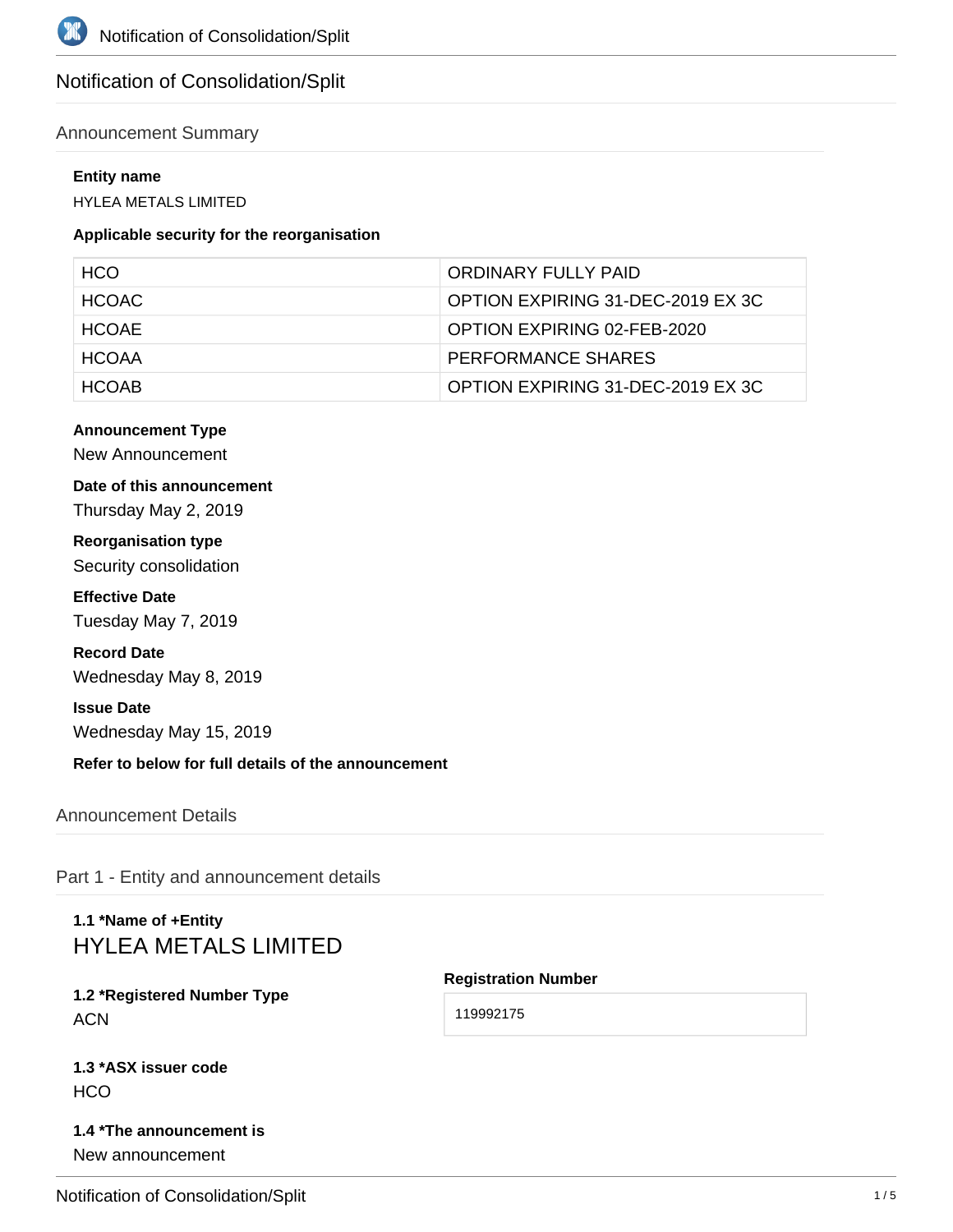# Notification of Consolidation/Split

### Announcement Summary

#### **Entity name**

HYLEA METALS LIMITED

#### **Applicable security for the reorganisation**

| HCO.         | ORDINARY FULLY PAID               |
|--------------|-----------------------------------|
| HCOAC.       | OPTION EXPIRING 31-DEC-2019 EX 3C |
| <b>HCOAE</b> | OPTION EXPIRING 02-FEB-2020       |
| <b>HCOAA</b> | PERFORMANCE SHARES                |
| <b>HCOAR</b> | OPTION EXPIRING 31-DEC-2019 EX 3C |

#### **Announcement Type**

New Announcement

## **Date of this announcement**

Thursday May 2, 2019

**Reorganisation type** Security consolidation

**Effective Date** Tuesday May 7, 2019

## **Record Date**

Wednesday May 8, 2019

#### **Issue Date**

Wednesday May 15, 2019

**Refer to below for full details of the announcement**

Announcement Details

Part 1 - Entity and announcement details

# **1.1 \*Name of +Entity** HYLEA METALS LIMITED

## **1.2 \*Registered Number Type ACN**

#### **Registration Number**

119992175

|     | 1.3 *ASX issuer code |  |
|-----|----------------------|--|
| HCO |                      |  |

## **1.4 \*The announcement is** New announcement

Notification of Consolidation/Split 1/5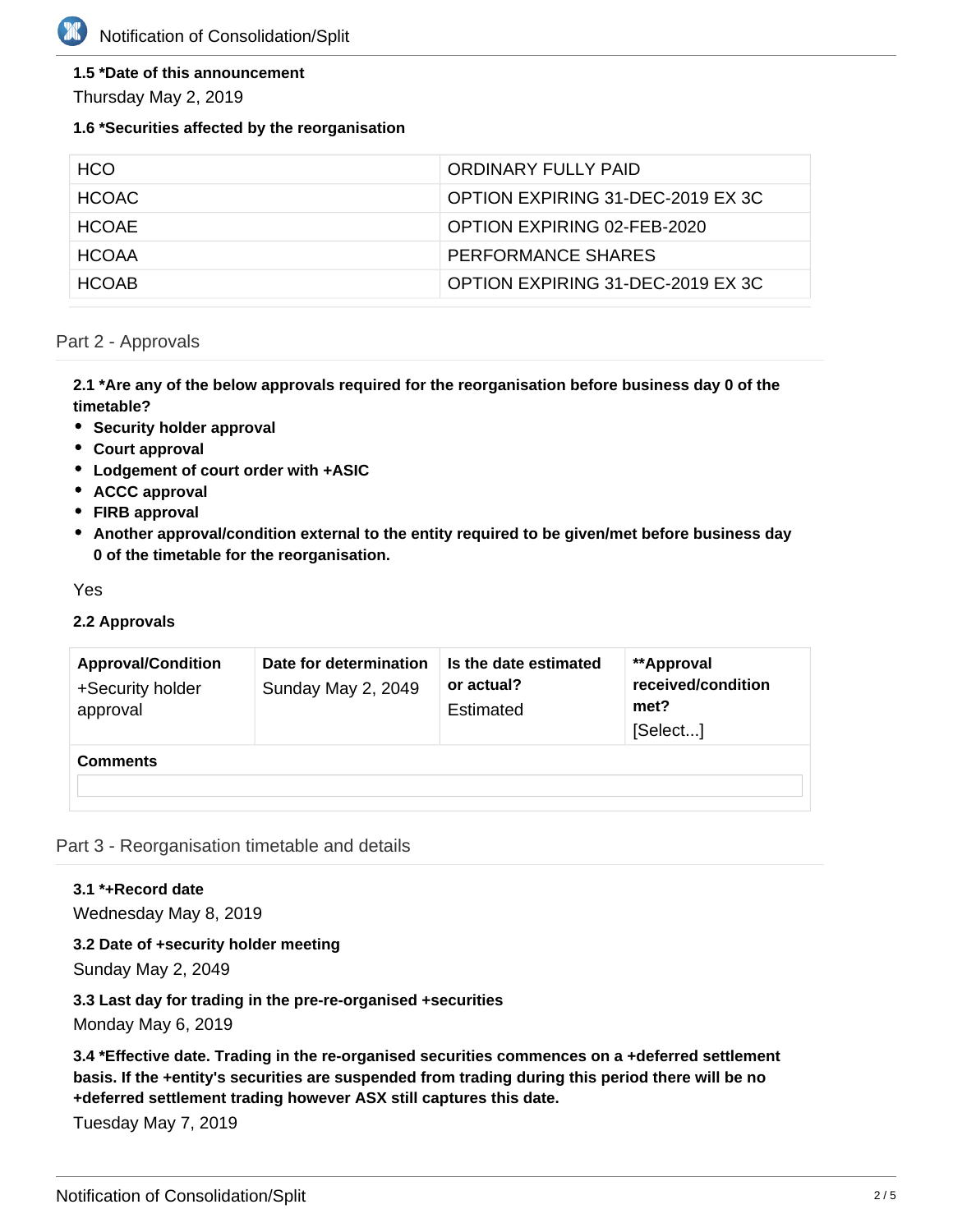## **1.5 \*Date of this announcement**

Thursday May 2, 2019

### **1.6 \*Securities affected by the reorganisation**

| HCO.         | ORDINARY FULLY PAID               |
|--------------|-----------------------------------|
| HCOAC.       | OPTION EXPIRING 31-DEC-2019 EX 3C |
| <b>HCOAF</b> | OPTION EXPIRING 02-FEB-2020       |
| <b>HCOAA</b> | PERFORMANCE SHARES                |
| <b>HCOAR</b> | OPTION EXPIRING 31-DEC-2019 EX 3C |

### Part 2 - Approvals

**2.1 \*Are any of the below approvals required for the reorganisation before business day 0 of the timetable?**

- **•** Security holder approval
- **Court approval**
- **Lodgement of court order with +ASIC**
- **ACCC approval**
- **FIRB approval**
- **Another approval/condition external to the entity required to be given/met before business day 0 of the timetable for the reorganisation.**

Yes

#### **2.2 Approvals**

| <b>Approval/Condition</b><br>+Security holder<br>approval | Date for determination<br>Sunday May 2, 2049 | Is the date estimated<br>or actual?<br>Estimated | **Approval<br>received/condition<br>met?<br>[Select] |
|-----------------------------------------------------------|----------------------------------------------|--------------------------------------------------|------------------------------------------------------|
| <b>Comments</b>                                           |                                              |                                                  |                                                      |

Part 3 - Reorganisation timetable and details

## **3.1 \*+Record date**

Wednesday May 8, 2019

**3.2 Date of +security holder meeting** Sunday May 2, 2049

**3.3 Last day for trading in the pre-re-organised +securities** Monday May 6, 2019

**3.4 \*Effective date. Trading in the re-organised securities commences on a +deferred settlement basis. If the +entity's securities are suspended from trading during this period there will be no +deferred settlement trading however ASX still captures this date.**

Tuesday May 7, 2019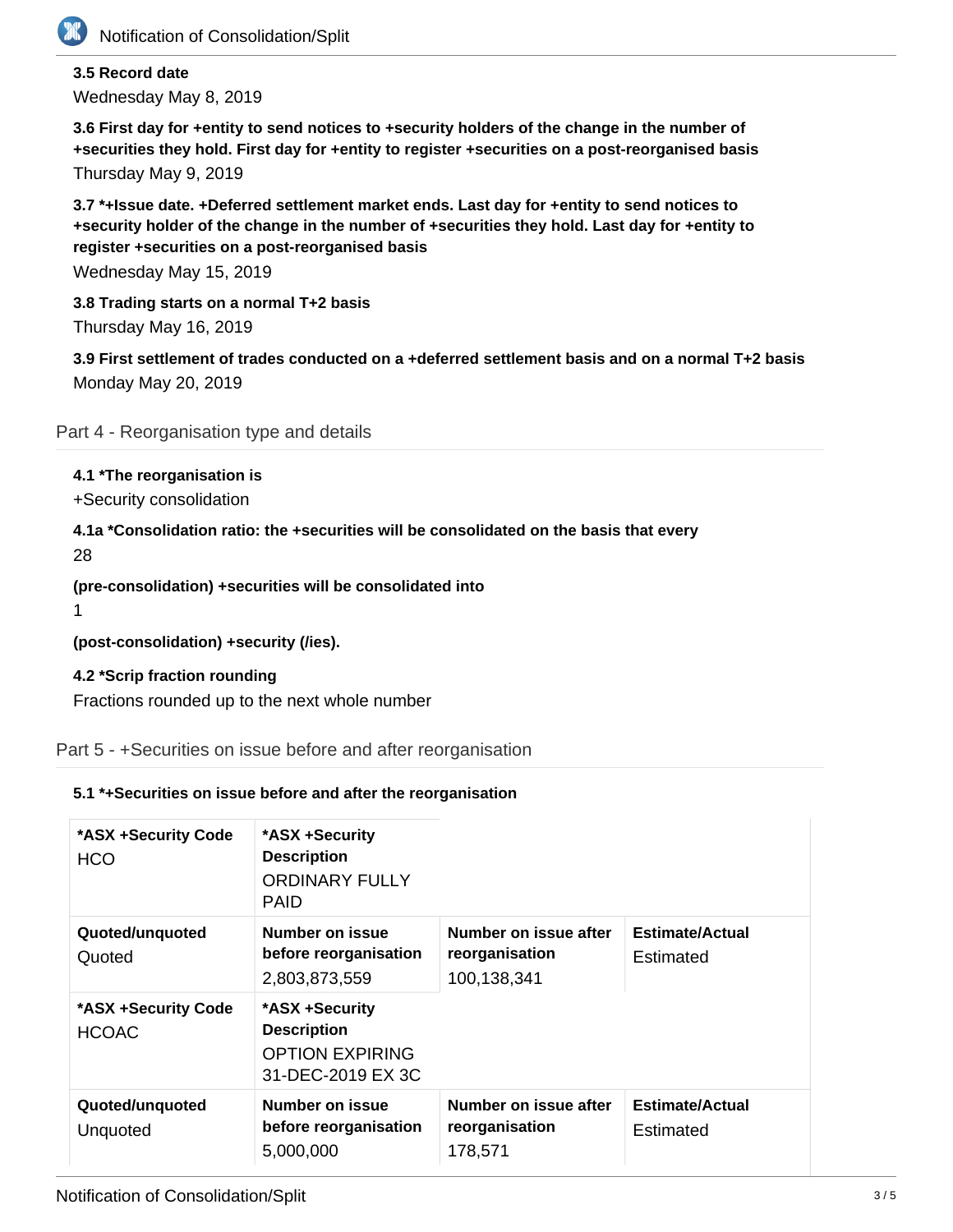

## **3.5 Record date** Wednesday May 8, 2019

**3.6 First day for +entity to send notices to +security holders of the change in the number of +securities they hold. First day for +entity to register +securities on a post-reorganised basis** Thursday May 9, 2019

**3.7 \*+Issue date. +Deferred settlement market ends. Last day for +entity to send notices to +security holder of the change in the number of +securities they hold. Last day for +entity to register +securities on a post-reorganised basis**

Wednesday May 15, 2019

**3.8 Trading starts on a normal T+2 basis** Thursday May 16, 2019

**3.9 First settlement of trades conducted on a +deferred settlement basis and on a normal T+2 basis** Monday May 20, 2019

Part 4 - Reorganisation type and details

## **4.1 \*The reorganisation is**

+Security consolidation

**4.1a \*Consolidation ratio: the +securities will be consolidated on the basis that every**

28

**(pre-consolidation) +securities will be consolidated into**

1

**(post-consolidation) +security (/ies).**

### **4.2 \*Scrip fraction rounding**

Fractions rounded up to the next whole number

Part 5 - +Securities on issue before and after reorganisation

### **5.1 \*+Securities on issue before and after the reorganisation**

| *ASX +Security Code<br><b>HCO</b> | *ASX +Security<br><b>Description</b><br><b>ORDINARY FULLY</b><br><b>PAID</b>        |                                                        |                                     |
|-----------------------------------|-------------------------------------------------------------------------------------|--------------------------------------------------------|-------------------------------------|
| Quoted/unquoted<br>Quoted         | Number on issue<br>before reorganisation<br>2,803,873,559                           | Number on issue after<br>reorganisation<br>100,138,341 | <b>Estimate/Actual</b><br>Estimated |
| *ASX +Security Code<br>HCOAC      | *ASX +Security<br><b>Description</b><br><b>OPTION EXPIRING</b><br>31-DEC-2019 EX 3C |                                                        |                                     |
| Quoted/unquoted<br>Unquoted       | Number on issue<br>before reorganisation<br>5,000,000                               | Number on issue after<br>reorganisation<br>178,571     | <b>Estimate/Actual</b><br>Estimated |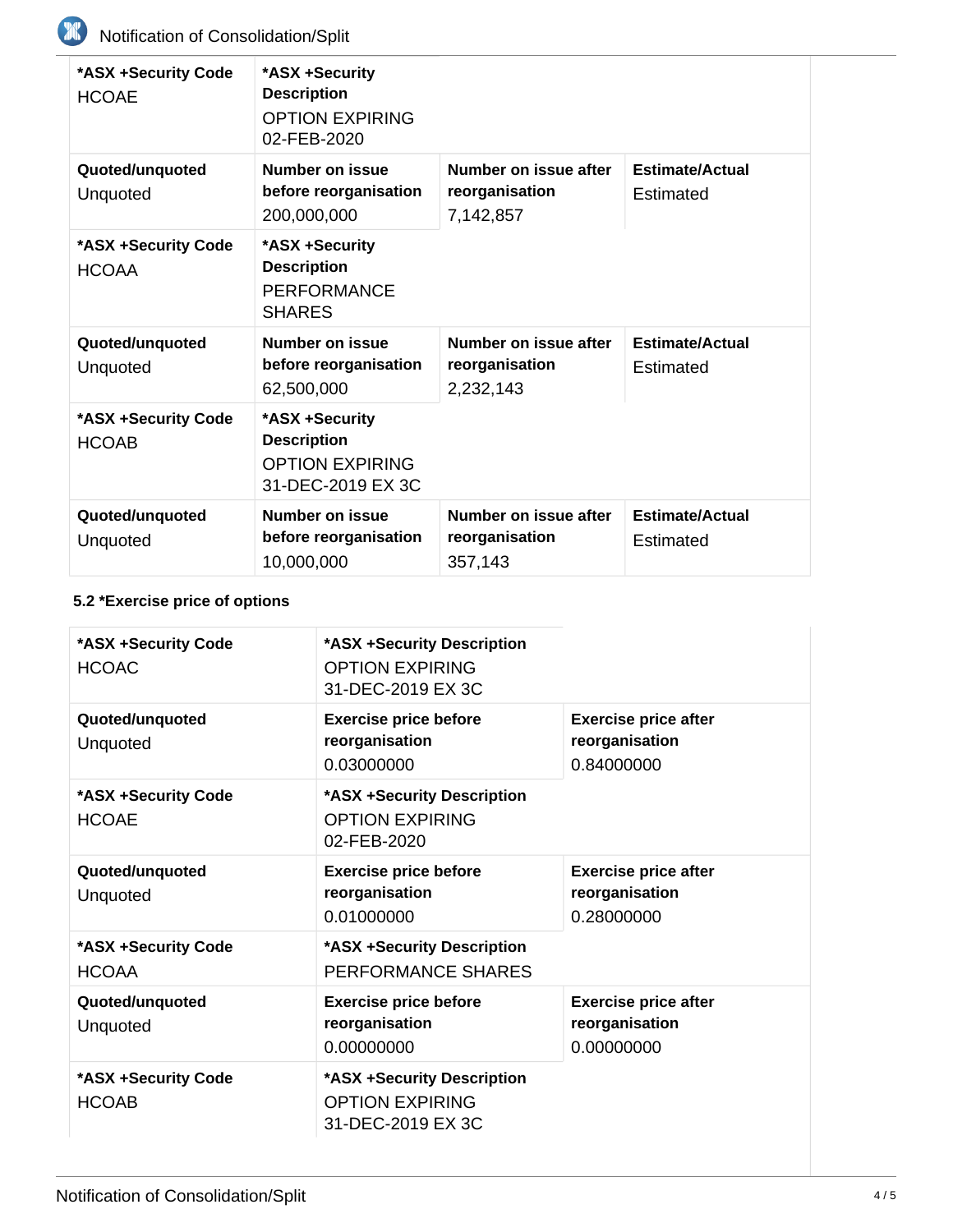| *ASX +Security Code<br><b>HCOAE</b> | *ASX +Security<br><b>Description</b><br><b>OPTION EXPIRING</b><br>02-FEB-2020 |                                                      |                                     |
|-------------------------------------|-------------------------------------------------------------------------------|------------------------------------------------------|-------------------------------------|
| Quoted/unquoted<br>Unquoted         | Number on issue<br>before reorganisation<br>200,000,000                       | Number on issue after<br>reorganisation<br>7,142,857 | <b>Estimate/Actual</b><br>Estimated |
| *ASX +Security Code<br><b>HCOAA</b> | *ASX +Security<br><b>Description</b><br><b>PERFORMANCE</b><br><b>SHARES</b>   |                                                      |                                     |
| Quoted/unquoted<br>Unquoted         | Number on issue<br>before reorganisation<br>62,500,000                        | Number on issue after<br>reorganisation<br>2,232,143 | <b>Estimate/Actual</b><br>Estimated |
| *ASX +Security Code<br><b>HCOAB</b> | *ASX +Security<br><b>Description</b><br>OPTION EXPIRING<br>31-DEC-2019 EX 3C  |                                                      |                                     |
| Quoted/unquoted<br>Unquoted         | Number on issue<br>before reorganisation<br>10,000,000                        | Number on issue after<br>reorganisation<br>357,143   | <b>Estimate/Actual</b><br>Estimated |

# **5.2 \*Exercise price of options**

| *ASX +Security Code<br><b>HCOAC</b> | *ASX +Security Description<br><b>OPTION EXPIRING</b><br>31-DEC-2019 EX 3C |                                                             |
|-------------------------------------|---------------------------------------------------------------------------|-------------------------------------------------------------|
| Quoted/unquoted<br>Unquoted         | <b>Exercise price before</b><br>reorganisation<br>0.03000000              | <b>Exercise price after</b><br>reorganisation<br>0.84000000 |
| *ASX +Security Code<br><b>HCOAE</b> | *ASX +Security Description<br><b>OPTION EXPIRING</b><br>02-FEB-2020       |                                                             |
| Quoted/unquoted<br>Unquoted         | <b>Exercise price before</b><br>reorganisation<br>0.01000000              | <b>Exercise price after</b><br>reorganisation<br>0.28000000 |
| *ASX +Security Code<br><b>HCOAA</b> | *ASX +Security Description<br>PERFORMANCE SHARES                          |                                                             |
| Quoted/unquoted<br>Unquoted         | <b>Exercise price before</b><br>reorganisation<br>0.00000000              | <b>Exercise price after</b><br>reorganisation<br>0.00000000 |
| *ASX +Security Code<br><b>HCOAB</b> | *ASX +Security Description<br><b>OPTION EXPIRING</b><br>31-DEC-2019 EX 3C |                                                             |